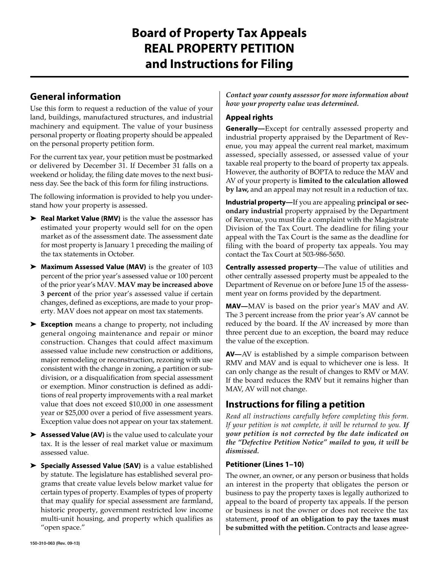# **Board of Property Tax Appeals REAL PROPERTY PETITION and Instructions for Filing**

### **General information**

Use this form to request a reduction of the value of your land, buildings, manufactured structures, and industrial machinery and equipment. The value of your business personal property or floating property should be appealed on the personal property petition form.

For the current tax year, your petition must be postmarked or delivered by December 31. If December 31 falls on a weekend or holiday, the filing date moves to the next business day. See the back of this form for filing instructions.

The following information is provided to help you understand how your property is assessed.

- ➤ **Real Market Value (RMV)** is the value the assessor has estimated your property would sell for on the open market as of the assessment date. The assessment date for most property is January 1 preceding the mailing of the tax statements in October.
- ➤ **Maximum Assessed Value (MAV)** is the greater of 103 percent of the prior year's assessed value or 100 percent of the prior year's MAV. **MAV may be increased above 3 percent** of the prior year's assessed value if certain changes, defined as exceptions, are made to your property. MAV does not appear on most tax statements.
- ➤ **Exception** means a change to property, not including general ongoing maintenance and repair or minor construction. Changes that could affect maximum assessed value include new construction or additions, major remodeling or reconstruction, rezoning with use consistent with the change in zoning, a partition or subdivision, or a disqualification from special assessment or exemption. Minor construction is defined as additions of real property improvements with a real market value that does not exceed \$10,000 in one assessment year or \$25,000 over a period of five assessment years. Exception value does not appear on your tax statement.
- ➤ **Assessed Value (AV)** is the value used to calculate your tax. It is the lesser of real market value or maximum assessed value.
- ➤ **Specially Assessed Value (SAV)** is a value established by statute. The legislature has established several programs that create value levels below market value for certain types of property. Examples of types of property that may qualify for special assessment are farmland, historic property, government restricted low income multi-unit housing, and property which qualifies as "open space."

*Contact your county assessor for more information about how your property value was determined.*

#### **Appeal rights**

**Generally—**Except for centrally assessed property and industrial property appraised by the Department of Revenue, you may appeal the current real market, maximum assessed, specially assessed, or assessed value of your taxable real property to the board of property tax appeals. However, the authority of BOPTA to reduce the MAV and AV of your property is **limited to the calculation allowed by law,** and an appeal may not result in a reduction of tax.

**Industrial property—**If you are appealing **principal or secondary industrial** property appraised by the Department of Revenue, you must file a complaint with the Magistrate Division of the Tax Court. The deadline for filing your appeal with the Tax Court is the same as the deadline for filing with the board of property tax appeals. You may contact the Tax Court at 503-986-5650.

**Centrally assessed property**—The value of utilities and other centrally assessed property must be appealed to the Department of Revenue on or before June 15 of the assessment year on forms provided by the department.

**MAV—**MAV is based on the prior year's MAV and AV. The 3 percent increase from the prior year's AV cannot be reduced by the board. If the AV increased by more than three percent due to an exception, the board may reduce the value of the exception.

**AV—**AV is established by a simple comparison between RMV and MAV and is equal to whichever one is less. It can only change as the result of changes to RMV or MAV. If the board reduces the RMV but it remains higher than MAV, AV will not change.

### **Instructions for filing a petition**

*Read all instructions carefully before completing this form. If your petition is not complete, it will be returned to you. If your petition is not corrected by the date indicated on the "Defective Petition Notice" mailed to you, it will be dismissed.*

#### **Petitioner (Lines 1–10)**

The owner, an owner, or any person or business that holds an interest in the property that obligates the person or business to pay the property taxes is legally authorized to appeal to the board of property tax appeals. If the person or business is not the owner or does not receive the tax statement, **proof of an obligation to pay the taxes must be submitted with the petition.** Contracts and lease agree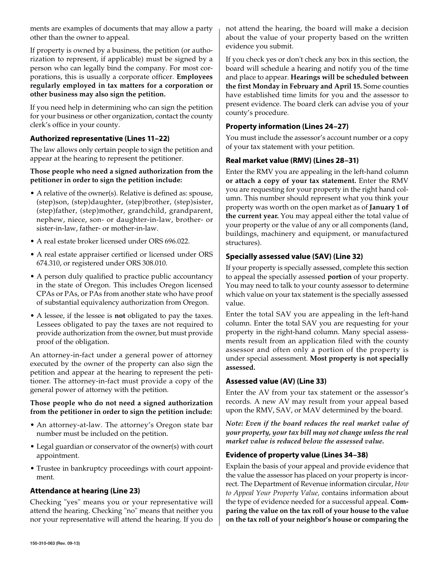ments are examples of documents that may allow a party other than the owner to appeal.

If property is owned by a business, the petition (or authorization to represent, if applicable) must be signed by a person who can legally bind the company. For most corporations, this is usually a corporate officer. **Employees regularly employed in tax matters for a corporation or other business may also sign the petition.**

If you need help in determining who can sign the petition for your business or other organization, contact the county clerk's office in your county.

#### **Authorized representative (Lines 11–22)**

The law allows only certain people to sign the petition and appear at the hearing to represent the petitioner.

#### **Those people who need a signed authorization from the petitioner in order to sign the petition include:**

- A relative of the owner(s). Relative is defined as: spouse, (step)son, (step)daughter, (step)brother, (step)sister, (step)father, (step)mother, grandchild, grandparent, nephew, niece, son- or daughter-in-law, brother- or sister-in-law, father- or mother-in-law.
- A real estate broker licensed under ORS 696.022.
- A real estate appraiser certified or licensed under ORS 674.310, or registered under ORS 308.010.
- A person duly qualified to practice public accountancy in the state of Oregon. This includes Oregon licensed CPAs or PAs, or PAs from another state who have proof of substantial equivalency authorization from Oregon.
- A lessee, if the lessee is **not** obligated to pay the taxes. Lessees obligated to pay the taxes are not required to provide authorization from the owner, but must provide proof of the obligation.

An attorney-in-fact under a general power of attorney executed by the owner of the property can also sign the petition and appear at the hearing to represent the petitioner. The attorney-in-fact must provide a copy of the general power of attorney with the petition.

#### **Those people who do not need a signed authorization from the petitioner in order to sign the petition include:**

- An attorney-at-law. The attorney's Oregon state bar number must be included on the petition.
- Legal guardian or conservator of the owner(s) with court appointment.
- Trustee in bankruptcy proceedings with court appointment.

#### **Attendance at hearing (Line 23)**

Checking "yes" means you or your representative will attend the hearing. Checking "no" means that neither you nor your representative will attend the hearing. If you do not attend the hearing, the board will make a decision about the value of your property based on the written evidence you submit.

If you check yes or don't check any box in this section, the board will schedule a hearing and notify you of the time and place to appear. **Hearings will be scheduled between the first Monday in February and April 15.** Some counties have established time limits for you and the assessor to present evidence. The board clerk can advise you of your county's procedure.

#### **Property information (Lines 24–27)**

You must include the assessor's account number or a copy of your tax statement with your petition.

#### **Real market value (RMV) (Lines 28–31)**

Enter the RMV you are appealing in the left-hand column **or attach a copy of your tax statement.** Enter the RMV you are requesting for your property in the right hand column. This number should represent what you think your property was worth on the open market as of **January 1 of the current year.** You may appeal either the total value of your property or the value of any or all components (land, buildings, machinery and equipment, or manufactured structures).

#### **Specially assessed value (SAV) (Line 32)**

If your property is specially assessed, complete this section to appeal the specially assessed **portion** of your property. You may need to talk to your county assessor to determine which value on your tax statement is the specially assessed value.

Enter the total SAV you are appealing in the left-hand column. Enter the total SAV you are requesting for your property in the right-hand column. Many special assessments result from an application filed with the county assessor and often only a portion of the property is under special assessment. **Most property is not specially assessed.**

#### **Assessed value (AV) (Line 33)**

Enter the AV from your tax statement or the assessor's records. A new AV may result from your appeal based upon the RMV, SAV, or MAV determined by the board.

*Note: Even if the board reduces the real market value of your property, your tax bill may not change unless the real market value is reduced below the assessed value.*

#### **Evidence of property value (Lines 34–38)**

Explain the basis of your appeal and provide evidence that the value the assessor has placed on your property is incorrect. The Department of Revenue information circular, *How to Appeal Your Property Value,* contains information about the type of evidence needed for a successful appeal. **Comparing the value on the tax roll of your house to the value on the tax roll of your neighbor's house or comparing the**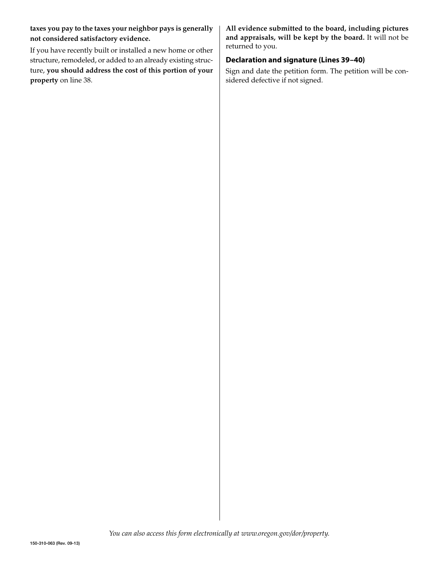**taxes you pay to the taxes your neighbor pays is generally not considered satisfactory evidence.**

If you have recently built or installed a new home or other structure, remodeled, or added to an already existing structure, **you should address the cost of this portion of your property** on line 38.

**All evidence submitted to the board, including pictures and appraisals, will be kept by the board.** It will not be returned to you.

#### **Declaration and signature (Lines 39–40)**

Sign and date the petition form. The petition will be considered defective if not signed.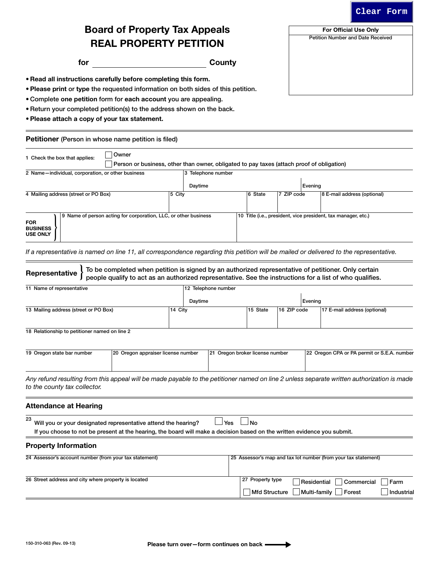#### **Clear Form**

For Official Use Only Petition Number and Date Received

## Board of Property Tax Appeals REAL PROPERTY PETITION

for County

• Read all instructions carefully before completing this form.

• Please print or type the requested information on both sides of this petition.

• Complete one petition form for each account you are appealing.

• Return your completed petition(s) to the address shown on the back.

• Please attach a copy of your tax statement.

Petitioner (Person in whose name petition is filed)

| Owner<br>1 Check the box that applies:<br>Person or business, other than owner, obligated to pay taxes (attach proof of obligation) |        |                    |         |               |         |                                                               |  |
|-------------------------------------------------------------------------------------------------------------------------------------|--------|--------------------|---------|---------------|---------|---------------------------------------------------------------|--|
| 2 Name-individual, corporation, or other business                                                                                   |        | 3 Telephone number |         |               |         |                                                               |  |
|                                                                                                                                     |        | Daytime            |         |               | Evening |                                                               |  |
| 4 Mailing address (street or PO Box)                                                                                                | 5 City |                    | 6 State | $ 7$ ZIP code |         | 8 E-mail address (optional)                                   |  |
|                                                                                                                                     |        |                    |         |               |         |                                                               |  |
| Name of person acting for corporation, LLC, or other business<br>9<br><b>FOR</b><br><b>BUSINESS</b><br><b>USE ONLY</b>              |        |                    |         |               |         | 10 Title (i.e., president, vice president, tax manager, etc.) |  |

*If a representative is named on line 11, all correspondence regarding this petition will be mailed or delivered to the representative.*

| Representative                                                                                                                                                                                             | To be completed when petition is signed by an authorized representative of petitioner. Only certain<br>people qualify to act as an authorized representative. See the instructions for a list of who qualifies. |         |                                 |                                          |             |                                                                |                                  |  |  |
|------------------------------------------------------------------------------------------------------------------------------------------------------------------------------------------------------------|-----------------------------------------------------------------------------------------------------------------------------------------------------------------------------------------------------------------|---------|---------------------------------|------------------------------------------|-------------|----------------------------------------------------------------|----------------------------------|--|--|
| 11 Name of representative                                                                                                                                                                                  |                                                                                                                                                                                                                 |         | 12 Telephone number             |                                          |             |                                                                |                                  |  |  |
|                                                                                                                                                                                                            |                                                                                                                                                                                                                 |         |                                 |                                          |             |                                                                |                                  |  |  |
|                                                                                                                                                                                                            |                                                                                                                                                                                                                 | Daytime |                                 |                                          |             | Evening                                                        |                                  |  |  |
| 13 Mailing address (street or PO Box)                                                                                                                                                                      |                                                                                                                                                                                                                 | 14 City |                                 | 15 State                                 | 16 ZIP code | 17 E-mail address (optional)                                   |                                  |  |  |
| 18 Relationship to petitioner named on line 2                                                                                                                                                              |                                                                                                                                                                                                                 |         |                                 |                                          |             |                                                                |                                  |  |  |
| 19 Oregon state bar number                                                                                                                                                                                 | 20 Oregon appraiser license number                                                                                                                                                                              |         | 21 Oregon broker license number |                                          |             |                                                                |                                  |  |  |
|                                                                                                                                                                                                            |                                                                                                                                                                                                                 |         |                                 |                                          |             | 22 Oregon CPA or PA permit or S.E.A. number                    |                                  |  |  |
| Any refund resulting from this appeal will be made payable to the petitioner named on line 2 unless separate written authorization is made<br>to the county tax collector.<br><b>Attendance at Hearing</b> |                                                                                                                                                                                                                 |         |                                 |                                          |             |                                                                |                                  |  |  |
| 23<br>Will you or your designated representative attend the hearing?                                                                                                                                       |                                                                                                                                                                                                                 |         | Yes                             | No                                       |             |                                                                |                                  |  |  |
| If you choose to not be present at the hearing, the board will make a decision based on the written evidence you submit.                                                                                   |                                                                                                                                                                                                                 |         |                                 |                                          |             |                                                                |                                  |  |  |
| <b>Property Information</b>                                                                                                                                                                                |                                                                                                                                                                                                                 |         |                                 |                                          |             |                                                                |                                  |  |  |
| 24 Assessor's account number (from your tax statement)                                                                                                                                                     |                                                                                                                                                                                                                 |         |                                 |                                          |             | 25 Assessor's map and tax lot number (from your tax statement) |                                  |  |  |
| 26 Street address and city where property is located                                                                                                                                                       |                                                                                                                                                                                                                 |         |                                 | 27 Property type<br><b>Mfd Structure</b> |             | Residential<br>Multi-family<br>Forest                          | Commercial<br>Farm<br>Industrial |  |  |